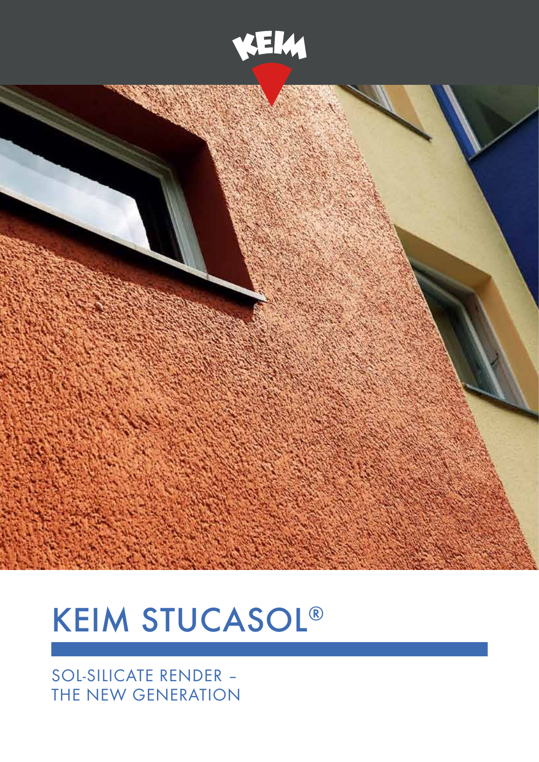



# **KEIM STUCASOL®**

### SOL-SILICATE RENDER -THE NEW GENERATION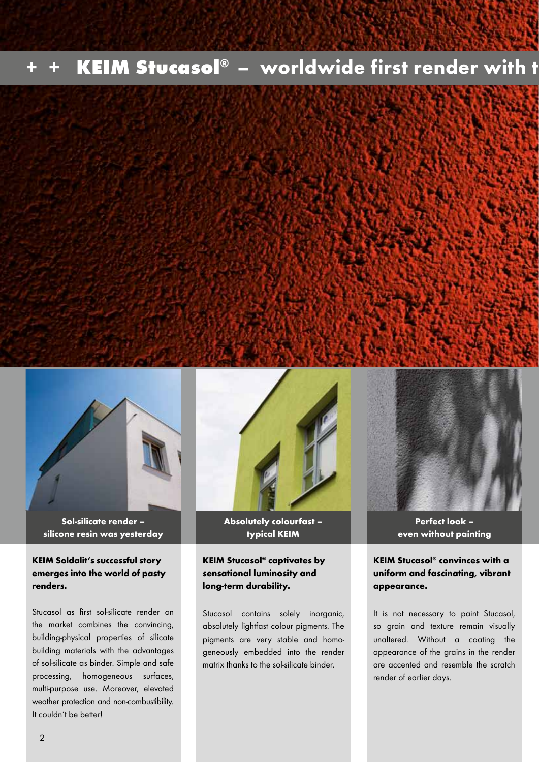## KEIM Stucasol® – worldwide first render with t





Sol-silicate render – silicone resin was yesterday

### KEIM Soldalit's successful story emerges into the world of pasty renders.

Stucasol as first sol-silicate render on the market combines the convincing, building-physical properties of silicate building materials with the advantages of sol-silicate as binder. Simple and safe processing, homogeneous surfaces, multi-purpose use. Moreover, elevated weather protection and non-combustibility. It couldn't be better!



Absolutely colourfast – typical KEIM

#### KEIM Stucasol® captivates by sensational luminosity and long-term durability.

Stucasol contains solely inorganic, absolutely lightfast colour pigments. The pigments are very stable and homogeneously embedded into the render matrix thanks to the sol-silicate binder.



Perfect look – even without painting

KEIM Stucasol® convinces with a uniform and fascinating, vibrant appearance.

It is not necessary to paint Stucasol, so grain and texture remain visually unaltered. Without a coating the appearance of the grains in the render are accented and resemble the scratch render of earlier days.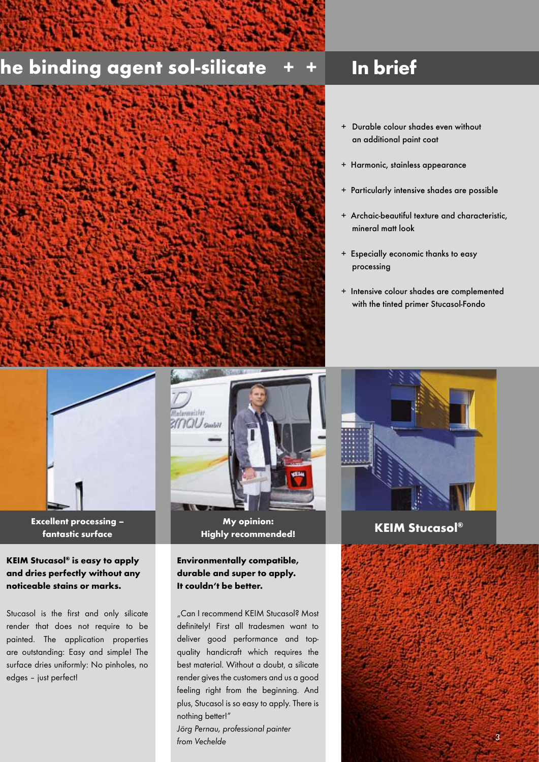### he binding agent sol-silicate



### In brief

- + Durable colour shades even without an additional paint coat
- + Harmonic, stainless appearance
- + Particularly intensive shades are possible
- + Archaic-beautiful texture and characteristic, mineral matt look
- + Especially economic thanks to easy processing
- + Intensive colour shades are complemented with the tinted primer Stucasol-Fondo



fantastic surface

### KEIM Stucasol® is easy to apply and dries perfectly without any noticeable stains or marks.

Stucasol is the first and only silicate render that does not require to be painted. The application properties are outstanding: Easy and simple! The surface dries uniformly: No pinholes, no edges – just perfect!



My opinion: Excellent processing –  $\blacksquare$  My opinion:  $\blacksquare$  KEIM Stucasol®  $\blacksquare$ 

### Environmentally compatible, durable and super to apply. It couldn't be better.

..Can I recommend KEIM Stucasol? Most definitely! First all tradesmen want to deliver good performance and topquality handicraft which requires the best material. Without a doubt, a silicate render gives the customers and us a good feeling right from the beginning. And plus, Stucasol is so easy to apply. There is nothing better!"

*Jörg Pernau, professional painter from Vechelde*